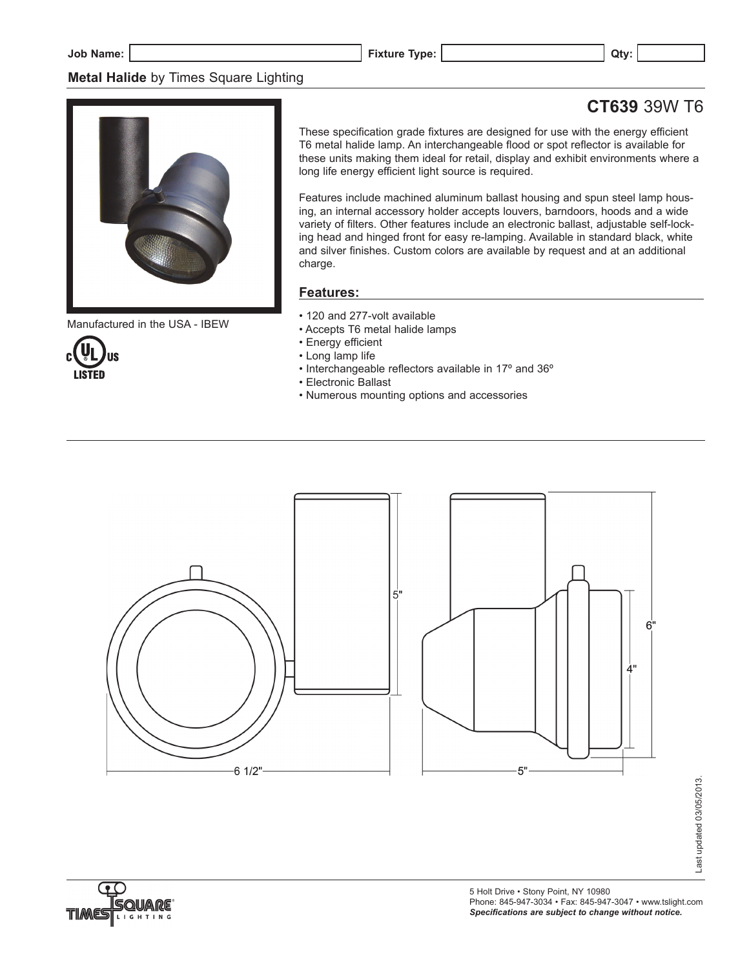# **Metal Halide** by Times Square Lighting

# **CT639** 39W T6



Manufactured in the USA - IBEW



These specification grade fixtures are designed for use with the energy efficient T6 metal halide lamp. An interchangeable flood or spot reflector is available for these units making them ideal for retail, display and exhibit environments where a long life energy efficient light source is required.

Features include machined aluminum ballast housing and spun steel lamp housing, an internal accessory holder accepts louvers, barndoors, hoods and a wide variety of filters. Other features include an electronic ballast, adjustable self-locking head and hinged front for easy re-lamping. Available in standard black, white and silver finishes. Custom colors are available by request and at an additional charge.

# **Features:**

- 120 and 277-volt available
- Accepts T6 metal halide lamps
- Energy efficient
- Long lamp life
- Interchangeable reflectors available in 17º and 36º
- Electronic Ballast
- Numerous mounting options and accessories